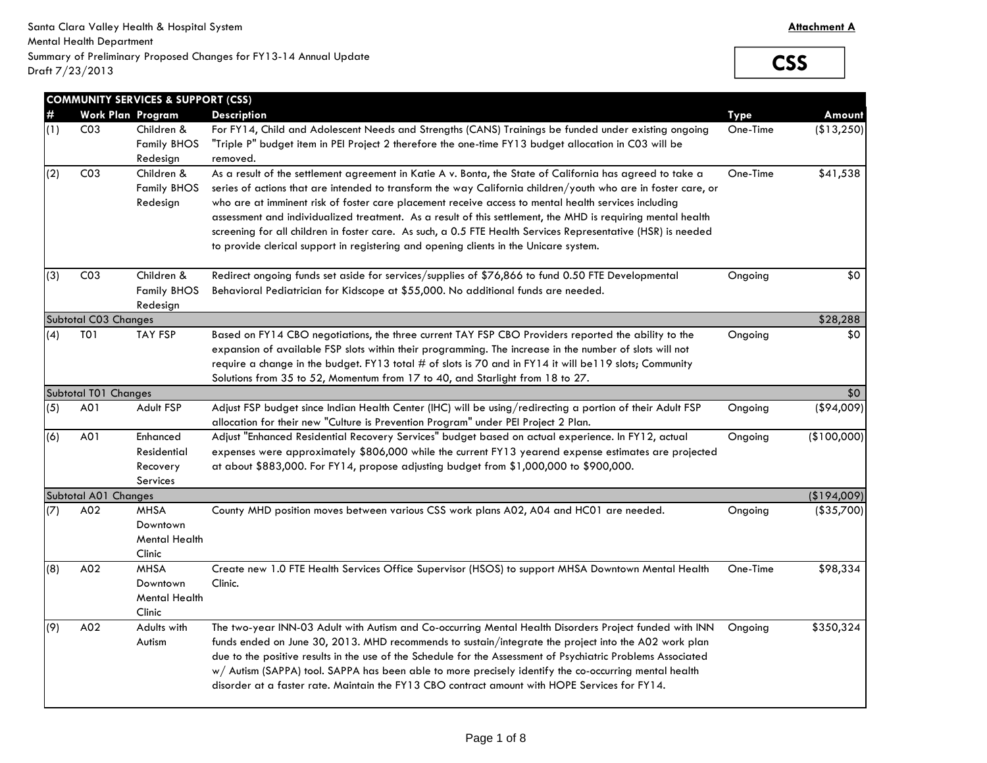**CSS**

|     |                      | <b>COMMUNITY SERVICES &amp; SUPPORT (CSS)</b> |                                                                                                                                                                                                                            |             |             |
|-----|----------------------|-----------------------------------------------|----------------------------------------------------------------------------------------------------------------------------------------------------------------------------------------------------------------------------|-------------|-------------|
| #   |                      | Work Plan Program                             | <b>Description</b>                                                                                                                                                                                                         | <b>Type</b> | Amount      |
| (1) | CO <sub>3</sub>      | Children &                                    | For FY14, Child and Adolescent Needs and Strengths (CANS) Trainings be funded under existing ongoing                                                                                                                       | One-Time    | (\$13,250)  |
|     |                      | <b>Family BHOS</b>                            | "Triple P" budget item in PEI Project 2 therefore the one-time FY13 budget allocation in C03 will be                                                                                                                       |             |             |
|     |                      | Redesign                                      | removed.                                                                                                                                                                                                                   |             |             |
| (2) | CO <sub>3</sub>      | Children &<br><b>Family BHOS</b>              | As a result of the settlement agreement in Katie A v. Bonta, the State of California has agreed to take a<br>series of actions that are intended to transform the way California children/youth who are in foster care, or | One-Time    | \$41,538    |
|     |                      | Redesign                                      | who are at imminent risk of foster care placement receive access to mental health services including<br>assessment and individualized treatment. As a result of this settlement, the MHD is requiring mental health        |             |             |
|     |                      |                                               | screening for all children in foster care. As such, a 0.5 FTE Health Services Representative (HSR) is needed<br>to provide clerical support in registering and opening clients in the Unicare system.                      |             |             |
| (3) | CO <sub>3</sub>      | Children &<br><b>Family BHOS</b>              | Redirect ongoing funds set aside for services/supplies of \$76,866 to fund 0.50 FTE Developmental<br>Behavioral Pediatrician for Kidscope at \$55,000. No additional funds are needed.                                     | Ongoing     | \$0         |
|     |                      | Redesign                                      |                                                                                                                                                                                                                            |             |             |
|     | Subtotal C03 Changes |                                               |                                                                                                                                                                                                                            |             | \$28,288    |
| (4) | TO <sub>1</sub>      | <b>TAY FSP</b>                                | Based on FY14 CBO negotiations, the three current TAY FSP CBO Providers reported the ability to the                                                                                                                        | Ongoing     | \$0         |
|     |                      |                                               | expansion of available FSP slots within their programming. The increase in the number of slots will not                                                                                                                    |             |             |
|     |                      |                                               | require a change in the budget. FY13 total # of slots is 70 and in FY14 it will be119 slots; Community                                                                                                                     |             |             |
|     |                      |                                               | Solutions from 35 to 52, Momentum from 17 to 40, and Starlight from 18 to 27.                                                                                                                                              |             |             |
|     | Subtotal T01 Changes |                                               |                                                                                                                                                                                                                            |             | \$0         |
| (5) | A01                  | Adult FSP                                     | Adjust FSP budget since Indian Health Center (IHC) will be using/redirecting a portion of their Adult FSP<br>allocation for their new "Culture is Prevention Program" under PEI Project 2 Plan.                            | Ongoing     | ( \$94,009) |
| (6) | A01                  | Enhanced                                      | Adjust "Enhanced Residential Recovery Services" budget based on actual experience. In FY12, actual                                                                                                                         | Ongoing     | (\$100,000) |
|     |                      | Residential                                   | expenses were approximately \$806,000 while the current FY13 yearend expense estimates are projected                                                                                                                       |             |             |
|     |                      | Recovery                                      | at about \$883,000. For FY14, propose adjusting budget from \$1,000,000 to \$900,000.                                                                                                                                      |             |             |
|     |                      | Services                                      |                                                                                                                                                                                                                            |             |             |
|     | Subtotal A01 Changes |                                               |                                                                                                                                                                                                                            |             | (\$194,009) |
| (7) | A02                  | <b>MHSA</b>                                   | County MHD position moves between various CSS work plans A02, A04 and HC01 are needed.                                                                                                                                     | Ongoing     | (\$35,700)  |
|     |                      | Downtown                                      |                                                                                                                                                                                                                            |             |             |
|     |                      | <b>Mental Health</b>                          |                                                                                                                                                                                                                            |             |             |
|     |                      | Clinic                                        |                                                                                                                                                                                                                            |             |             |
| (8) | A02                  | <b>MHSA</b>                                   | Create new 1.0 FTE Health Services Office Supervisor (HSOS) to support MHSA Downtown Mental Health                                                                                                                         | One-Time    | \$98,334    |
|     |                      | Downtown<br><b>Mental Health</b>              | Clinic.                                                                                                                                                                                                                    |             |             |
|     |                      | Clinic                                        |                                                                                                                                                                                                                            |             |             |
| (9) | A02                  | Adults with                                   | The two-year INN-03 Adult with Autism and Co-occurring Mental Health Disorders Project funded with INN                                                                                                                     | Ongoing     | \$350,324   |
|     |                      | Autism                                        | funds ended on June 30, 2013. MHD recommends to sustain/integrate the project into the A02 work plan                                                                                                                       |             |             |
|     |                      |                                               | due to the positive results in the use of the Schedule for the Assessment of Psychiatric Problems Associated                                                                                                               |             |             |
|     |                      |                                               | w/Autism (SAPPA) tool. SAPPA has been able to more precisely identify the co-occurring mental health                                                                                                                       |             |             |
|     |                      |                                               | disorder at a faster rate. Maintain the FY13 CBO contract amount with HOPE Services for FY14.                                                                                                                              |             |             |
|     |                      |                                               |                                                                                                                                                                                                                            |             |             |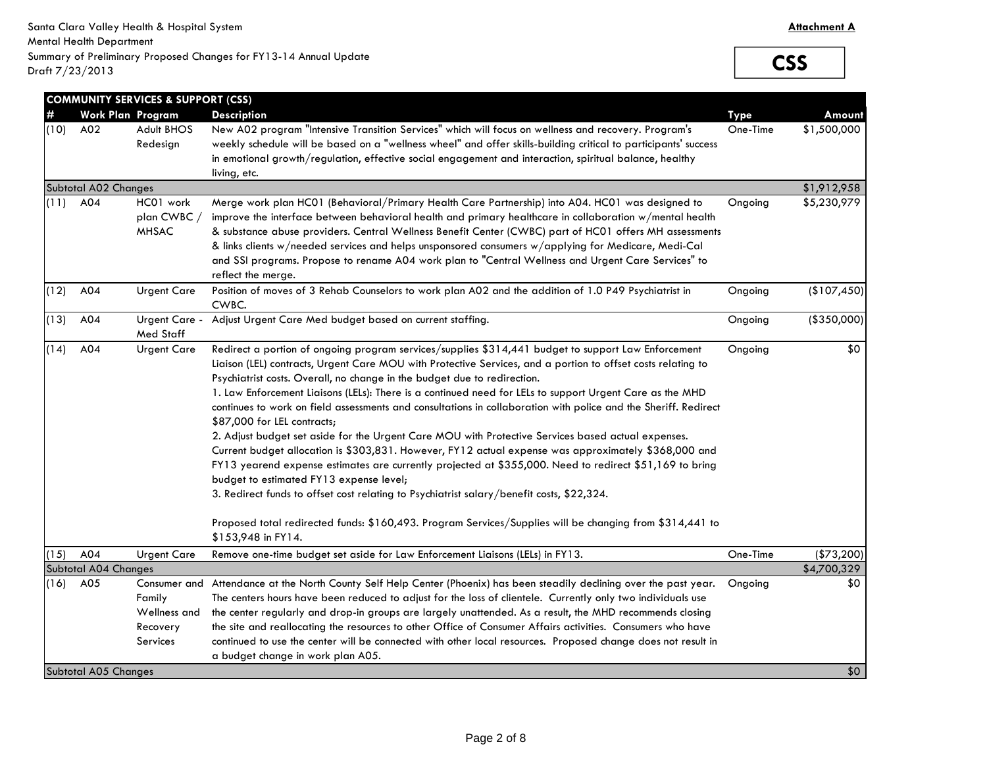**CSS**

| #    |                             | <b>COMMUNITY SERVICES &amp; SUPPORT (CSS)</b><br>Work Plan Program | <b>Description</b>                                                                                                                                                                                                                                                                                                                                                                                                                                                                                                                                                                                                                                                                                                                                                                                                                                                                                                                                                                                                                                                                                                                                               | <b>Type</b> | Amount       |
|------|-----------------------------|--------------------------------------------------------------------|------------------------------------------------------------------------------------------------------------------------------------------------------------------------------------------------------------------------------------------------------------------------------------------------------------------------------------------------------------------------------------------------------------------------------------------------------------------------------------------------------------------------------------------------------------------------------------------------------------------------------------------------------------------------------------------------------------------------------------------------------------------------------------------------------------------------------------------------------------------------------------------------------------------------------------------------------------------------------------------------------------------------------------------------------------------------------------------------------------------------------------------------------------------|-------------|--------------|
| (10) | A02                         | Adult BHOS<br>Redesign                                             | New A02 program "Intensive Transition Services" which will focus on wellness and recovery. Program's<br>weekly schedule will be based on a "wellness wheel" and offer skills-building critical to participants' success<br>in emotional growth/regulation, effective social engagement and interaction, spiritual balance, healthy<br>living, etc.                                                                                                                                                                                                                                                                                                                                                                                                                                                                                                                                                                                                                                                                                                                                                                                                               | One-Time    | \$1,500,000  |
|      | Subtotal A02 Changes        |                                                                    |                                                                                                                                                                                                                                                                                                                                                                                                                                                                                                                                                                                                                                                                                                                                                                                                                                                                                                                                                                                                                                                                                                                                                                  |             | \$1,912,958  |
| (11) | A04                         | HC01 work<br>plan CWBC /<br>MHSAC                                  | Merge work plan HC01 (Behavioral/Primary Health Care Partnership) into A04. HC01 was designed to<br>improve the interface between behavioral health and primary healthcare in collaboration w/mental health<br>& substance abuse providers. Central Wellness Benefit Center (CWBC) part of HC01 offers MH assessments<br>& links clients w/needed services and helps unsponsored consumers w/applying for Medicare, Medi-Cal<br>and SSI programs. Propose to rename A04 work plan to "Central Wellness and Urgent Care Services" to<br>reflect the merge.                                                                                                                                                                                                                                                                                                                                                                                                                                                                                                                                                                                                        | Ongoing     | \$5,230,979  |
| (12) | A04                         | <b>Urgent Care</b>                                                 | Position of moves of 3 Rehab Counselors to work plan A02 and the addition of 1.0 P49 Psychiatrist in<br>CWBC.                                                                                                                                                                                                                                                                                                                                                                                                                                                                                                                                                                                                                                                                                                                                                                                                                                                                                                                                                                                                                                                    | Ongoing     | (\$107,450)  |
| (13) | A04                         | Urgent Care -<br>Med Staff                                         | Adjust Urgent Care Med budget based on current staffing.                                                                                                                                                                                                                                                                                                                                                                                                                                                                                                                                                                                                                                                                                                                                                                                                                                                                                                                                                                                                                                                                                                         | Ongoing     | ( \$350,000] |
| (14) | A04                         | <b>Urgent Care</b>                                                 | Redirect a portion of ongoing program services/supplies \$314,441 budget to support Law Enforcement<br>Liaison (LEL) contracts, Urgent Care MOU with Protective Services, and a portion to offset costs relating to<br>Psychiatrist costs. Overall, no change in the budget due to redirection.<br>1. Law Enforcement Liaisons (LELs): There is a continued need for LELs to support Urgent Care as the MHD<br>continues to work on field assessments and consultations in collaboration with police and the Sheriff. Redirect<br>\$87,000 for LEL contracts;<br>2. Adjust budget set aside for the Urgent Care MOU with Protective Services based actual expenses.<br>Current budget allocation is \$303,831. However, FY12 actual expense was approximately \$368,000 and<br>FY13 yearend expense estimates are currently projected at \$355,000. Need to redirect \$51,169 to bring<br>budget to estimated FY13 expense level;<br>3. Redirect funds to offset cost relating to Psychiatrist salary/benefit costs, \$22,324.<br>Proposed total redirected funds: \$160,493. Program Services/Supplies will be changing from \$314,441 to<br>\$153,948 in FY14. | Ongoing     | \$0          |
| (15) | A04                         | <b>Urgent Care</b>                                                 | Remove one-time budget set aside for Law Enforcement Liaisons (LELs) in FY13.                                                                                                                                                                                                                                                                                                                                                                                                                                                                                                                                                                                                                                                                                                                                                                                                                                                                                                                                                                                                                                                                                    | One-Time    | $(*73,200)$  |
|      | <b>Subtotal A04 Changes</b> |                                                                    |                                                                                                                                                                                                                                                                                                                                                                                                                                                                                                                                                                                                                                                                                                                                                                                                                                                                                                                                                                                                                                                                                                                                                                  |             | \$4,700,329  |
| (16) | A05                         | Family<br>Wellness and<br>Recovery<br>Services                     | Consumer and Attendance at the North County Self Help Center (Phoenix) has been steadily declining over the past year.<br>The centers hours have been reduced to adjust for the loss of clientele. Currently only two individuals use<br>the center regularly and drop-in groups are largely unattended. As a result, the MHD recommends closing<br>the site and reallocating the resources to other Office of Consumer Affairs activities. Consumers who have<br>continued to use the center will be connected with other local resources. Proposed change does not result in<br>a budget change in work plan A05.                                                                                                                                                                                                                                                                                                                                                                                                                                                                                                                                              | Ongoing     | \$0          |
|      | Subtotal A05 Changes        |                                                                    |                                                                                                                                                                                                                                                                                                                                                                                                                                                                                                                                                                                                                                                                                                                                                                                                                                                                                                                                                                                                                                                                                                                                                                  |             | \$0          |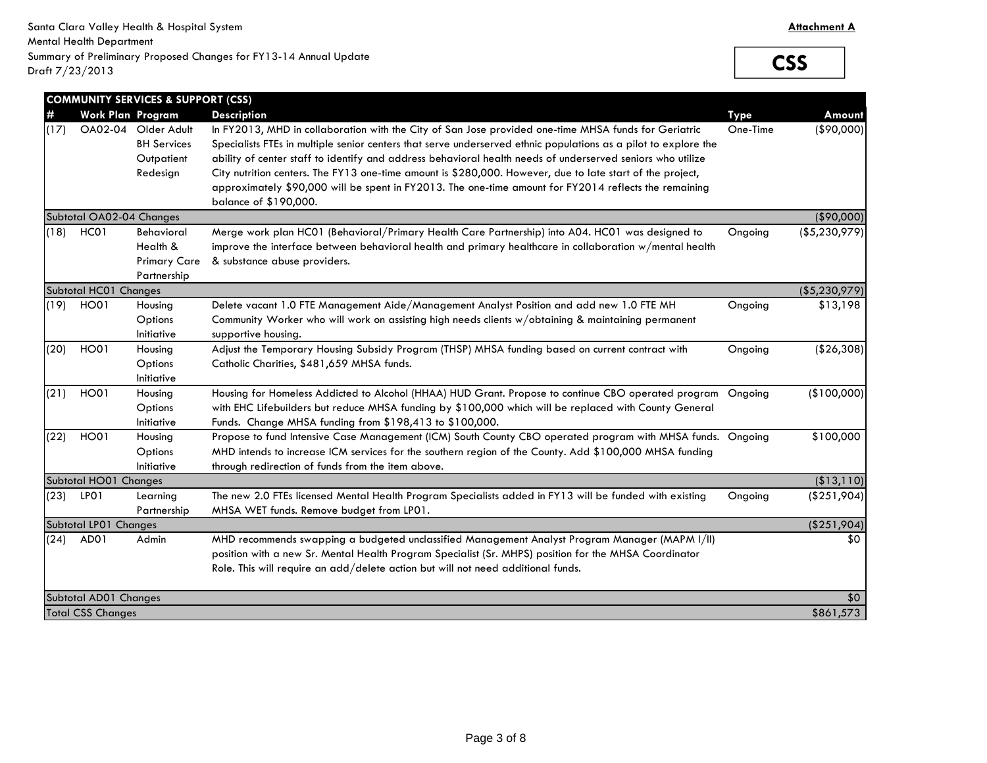**CSS**

|      |                          | <b>COMMUNITY SERVICES &amp; SUPPORT (CSS)</b>                       |                                                                                                                                                                                                                                                                                                                                                                                                                                                                                                                                                             |             |                |
|------|--------------------------|---------------------------------------------------------------------|-------------------------------------------------------------------------------------------------------------------------------------------------------------------------------------------------------------------------------------------------------------------------------------------------------------------------------------------------------------------------------------------------------------------------------------------------------------------------------------------------------------------------------------------------------------|-------------|----------------|
|      | Work Plan Program        |                                                                     | <b>Description</b>                                                                                                                                                                                                                                                                                                                                                                                                                                                                                                                                          | <b>Type</b> | Amount         |
| (17) |                          | OA02-04 Older Adult<br><b>BH Services</b><br>Outpatient<br>Redesign | In FY2013, MHD in collaboration with the City of San Jose provided one-time MHSA funds for Geriatric<br>Specialists FTEs in multiple senior centers that serve underserved ethnic populations as a pilot to explore the<br>ability of center staff to identify and address behavioral health needs of underserved seniors who utilize<br>City nutrition centers. The FY13 one-time amount is \$280,000. However, due to late start of the project,<br>approximately \$90,000 will be spent in FY2013. The one-time amount for FY2014 reflects the remaining | One-Time    | (\$90,000)     |
|      |                          |                                                                     | balance of \$190,000.                                                                                                                                                                                                                                                                                                                                                                                                                                                                                                                                       |             |                |
|      | Subtotal OA02-04 Changes |                                                                     |                                                                                                                                                                                                                                                                                                                                                                                                                                                                                                                                                             |             | (\$90,000)     |
| (18) | HC01                     | <b>Behavioral</b><br>Health &<br><b>Primary Care</b><br>Partnership | Merge work plan HC01 (Behavioral/Primary Health Care Partnership) into A04. HC01 was designed to<br>improve the interface between behavioral health and primary healthcare in collaboration w/mental health<br>& substance abuse providers.                                                                                                                                                                                                                                                                                                                 | Ongoing     | ( \$5,230,979) |
|      | Subtotal HC01 Changes    |                                                                     |                                                                                                                                                                                                                                                                                                                                                                                                                                                                                                                                                             |             | ( \$5,230,979) |
| (19) | HO01                     | Housing<br>Options<br>Initiative                                    | Delete vacant 1.0 FTE Management Aide/Management Analyst Position and add new 1.0 FTE MH<br>Community Worker who will work on assisting high needs clients w/obtaining & maintaining permanent<br>supportive housing.                                                                                                                                                                                                                                                                                                                                       | Ongoing     | \$13,198       |
| (20) | HO01                     | Housing<br>Options<br>Initiative                                    | Adjust the Temporary Housing Subsidy Program (THSP) MHSA funding based on current contract with<br>Catholic Charities, \$481,659 MHSA funds.                                                                                                                                                                                                                                                                                                                                                                                                                | Ongoing     | ( \$26, 308)   |
| (21) | <b>HO01</b>              | Housing<br>Options<br>Initiative                                    | Housing for Homeless Addicted to Alcohol (HHAA) HUD Grant. Propose to continue CBO operated program Ongoing<br>with EHC Lifebuilders but reduce MHSA funding by \$100,000 which will be replaced with County General<br>Funds. Change MHSA funding from \$198,413 to \$100,000.                                                                                                                                                                                                                                                                             |             | (\$100,000)    |
| (22) | <b>HO01</b>              | Housing<br>Options<br>Initiative                                    | Propose to fund Intensive Case Management (ICM) South County CBO operated program with MHSA funds. Ongoing<br>MHD intends to increase ICM services for the southern region of the County. Add \$100,000 MHSA funding<br>through redirection of funds from the item above.                                                                                                                                                                                                                                                                                   |             | \$100,000      |
|      | Subtotal HO01 Changes    |                                                                     |                                                                                                                                                                                                                                                                                                                                                                                                                                                                                                                                                             |             | (\$13,110)     |
| (23) | LPO1                     | Learning<br>Partnership                                             | The new 2.0 FTEs licensed Mental Health Program Specialists added in FY13 will be funded with existing<br>MHSA WET funds. Remove budget from LP01.                                                                                                                                                                                                                                                                                                                                                                                                          | Ongoing     | $(*251,904)$   |
|      | Subtotal LP01 Changes    |                                                                     |                                                                                                                                                                                                                                                                                                                                                                                                                                                                                                                                                             |             | (\$251,904)    |
|      | $(24)$ AD01              | Admin                                                               | MHD recommends swapping a budgeted unclassified Management Analyst Program Manager (MAPM I/II)<br>position with a new Sr. Mental Health Program Specialist (Sr. MHPS) position for the MHSA Coordinator<br>Role. This will require an add/delete action but will not need additional funds.                                                                                                                                                                                                                                                                 |             | \$0            |
|      | Subtotal AD01 Changes    |                                                                     |                                                                                                                                                                                                                                                                                                                                                                                                                                                                                                                                                             |             | \$0            |
|      | <b>Total CSS Changes</b> |                                                                     |                                                                                                                                                                                                                                                                                                                                                                                                                                                                                                                                                             |             | \$861,573      |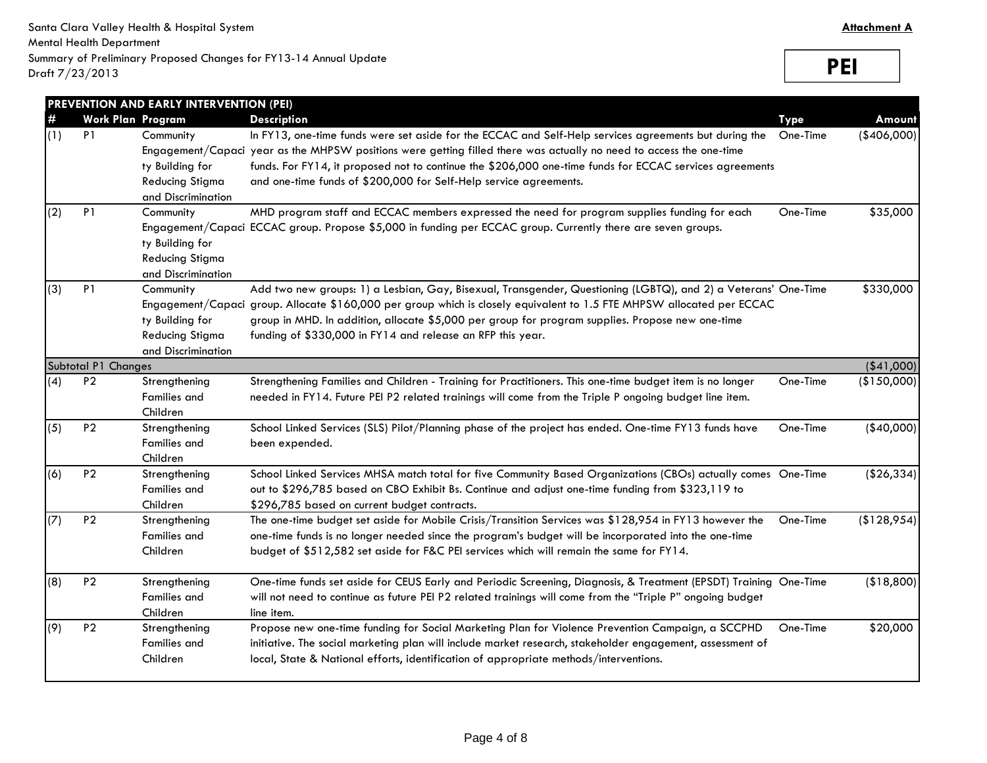**PEI**

| #   | <b>Work Plan Program</b> |                                                                                                   | <b>Description</b>                                                                                                                                                                                                                                                                                                                                                                                           | <b>Type</b> | Amount      |
|-----|--------------------------|---------------------------------------------------------------------------------------------------|--------------------------------------------------------------------------------------------------------------------------------------------------------------------------------------------------------------------------------------------------------------------------------------------------------------------------------------------------------------------------------------------------------------|-------------|-------------|
| (1) | P <sub>1</sub>           | Community<br>ty Building for<br><b>Reducing Stigma</b><br>and Discrimination                      | In FY13, one-time funds were set aside for the ECCAC and Self-Help services agreements but during the<br>Engagement/Capaci year as the MHPSW positions were getting filled there was actually no need to access the one-time<br>funds. For FY14, it proposed not to continue the \$206,000 one-time funds for ECCAC services agreements<br>and one-time funds of \$200,000 for Self-Help service agreements. | One-Time    | (\$406,000) |
| (2) | P <sub>1</sub>           | Community<br>ty Building for<br><b>Reducing Stigma</b><br>and Discrimination                      | MHD program staff and ECCAC members expressed the need for program supplies funding for each<br>Engagement/Capaci ECCAC group. Propose \$5,000 in funding per ECCAC group. Currently there are seven groups.                                                                                                                                                                                                 | One-Time    | \$35,000    |
| (3) | P <sub>1</sub>           | Community<br>Engagement/Capaci<br>ty Building for<br><b>Reducing Stigma</b><br>and Discrimination | Add two new groups: 1) a Lesbian, Gay, Bisexual, Transgender, Questioning (LGBTQ), and 2) a Veterans' One-Time<br>group. Allocate \$160,000 per group which is closely equivalent to 1.5 FTE MHPSW allocated per ECCAC<br>group in MHD. In addition, allocate \$5,000 per group for program supplies. Propose new one-time<br>funding of \$330,000 in FY14 and release an RFP this year.                     |             | \$330,000   |
|     | Subtotal P1 Changes      |                                                                                                   |                                                                                                                                                                                                                                                                                                                                                                                                              |             | ( \$41,000] |
| (4) | P <sub>2</sub>           | Strengthening<br>Families and<br>Children                                                         | Strengthening Families and Children - Training for Practitioners. This one-time budget item is no longer<br>needed in FY14. Future PEI P2 related trainings will come from the Triple P ongoing budget line item.                                                                                                                                                                                            | One-Time    | (\$150,000) |
| (5) | P <sub>2</sub>           | Strengthening<br><b>Families and</b><br>Children                                                  | School Linked Services (SLS) Pilot/Planning phase of the project has ended. One-time FY13 funds have<br>been expended.                                                                                                                                                                                                                                                                                       | One-Time    | $(*40,000)$ |
| (6) | P <sub>2</sub>           | Strengthening<br><b>Families</b> and<br>Children                                                  | School Linked Services MHSA match total for five Community Based Organizations (CBOs) actually comes One-Time<br>out to \$296,785 based on CBO Exhibit Bs. Continue and adjust one-time funding from \$323,119 to<br>\$296,785 based on current budget contracts.                                                                                                                                            |             | (\$26,334)  |
| (7) | P <sub>2</sub>           | Strengthening<br><b>Families and</b><br>Children                                                  | The one-time budget set aside for Mobile Crisis/Transition Services was \$128,954 in FY13 however the<br>one-time funds is no longer needed since the program's budget will be incorporated into the one-time<br>budget of \$512,582 set aside for F&C PEI services which will remain the same for FY14.                                                                                                     | One-Time    | (\$128,954) |
| (8) | P <sub>2</sub>           | Strengthening<br><b>Families and</b><br>Children                                                  | One-time funds set aside for CEUS Early and Periodic Screening, Diagnosis, & Treatment (EPSDT) Training One-Time<br>will not need to continue as future PEI P2 related trainings will come from the "Triple P" ongoing budget<br>line item.                                                                                                                                                                  |             | (\$18,800)  |
| (9) | P <sub>2</sub>           | Strengthening<br><b>Families</b> and<br>Children                                                  | Propose new one-time funding for Social Marketing Plan for Violence Prevention Campaign, a SCCPHD<br>initiative. The social marketing plan will include market research, stakeholder engagement, assessment of<br>local, State & National efforts, identification of appropriate methods/interventions.                                                                                                      | One-Time    | \$20,000    |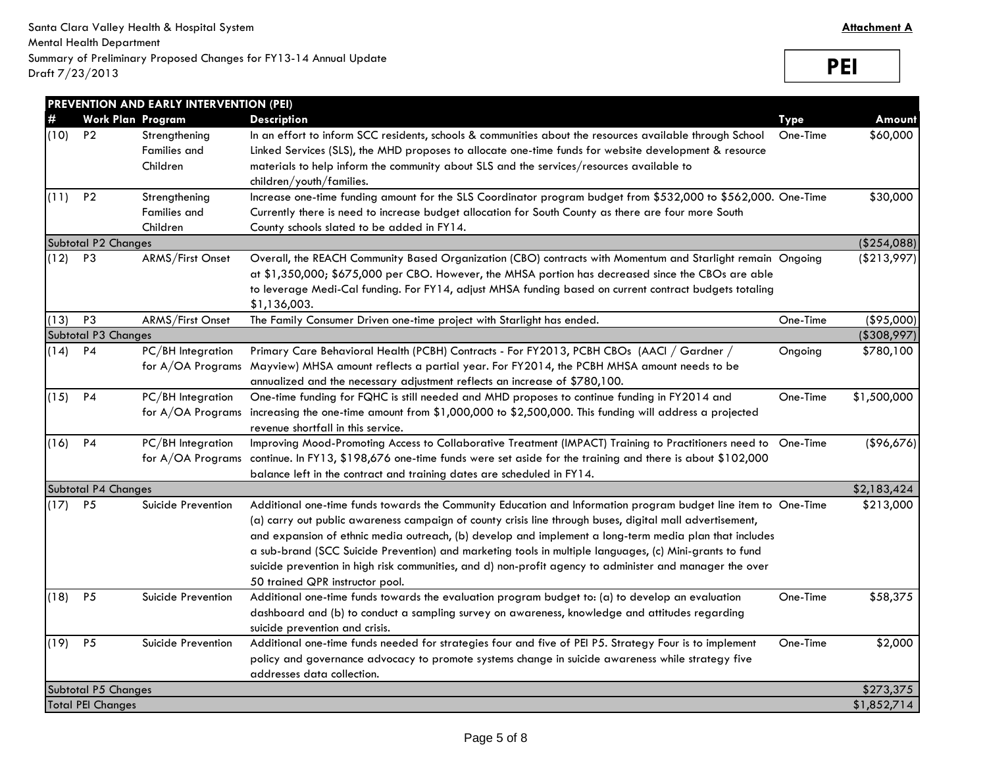**PEI**

| <b>Work Plan Program</b><br><b>Type</b><br>\$60,000<br>(10)<br>P <sub>2</sub><br>In an effort to inform SCC residents, schools & communities about the resources available through School<br>Strengthening<br>One-Time<br><b>Families and</b><br>Linked Services (SLS), the MHD proposes to allocate one-time funds for website development & resource<br>Children<br>materials to help inform the community about SLS and the services/resources available to<br>children/youth/families.<br>Increase one-time funding amount for the SLS Coordinator program budget from \$532,000 to \$562,000. One-Time<br>$(11)$ P2<br>\$30,000<br>Strengthening<br><b>Families and</b><br>Currently there is need to increase budget allocation for South County as there are four more South<br>Children<br>County schools slated to be added in FY14.<br>Subtotal P2 Changes<br>$(12)$ P3<br>ARMS/First Onset<br>Overall, the REACH Community Based Organization (CBO) contracts with Momentum and Starlight remain Ongoing<br>at \$1,350,000; \$675,000 per CBO. However, the MHSA portion has decreased since the CBOs are able<br>to leverage Medi-Cal funding. For FY14, adjust MHSA funding based on current contract budgets totaling<br>\$1,136,003.<br>P <sub>3</sub><br>(\$95,000)<br>ARMS/First Onset<br>The Family Consumer Driven one-time project with Starlight has ended.<br>One-Time<br>Subtotal P3 Changes<br>(\$308,997)<br>PC/BH Integration<br>Primary Care Behavioral Health (PCBH) Contracts - For FY2013, PCBH CBOs (AACI / Gardner /<br>\$780,100<br><b>P4</b><br>Ongoing<br>Mayview) MHSA amount reflects a partial year. For FY2014, the PCBH MHSA amount needs to be<br>for A/OA Programs<br>annualized and the necessary adjustment reflects an increase of \$780,100.<br>P4<br>PC/BH Integration<br>One-time funding for FQHC is still needed and MHD proposes to continue funding in FY2014 and<br>One-Time<br>\$1,500,000<br>for A/OA Programs increasing the one-time amount from \$1,000,000 to \$2,500,000. This funding will address a projected<br>revenue shortfall in this service.<br>$(16)$ P4<br>PC/BH Integration<br>Improving Mood-Promoting Access to Collaborative Treatment (IMPACT) Training to Practitioners need to<br>One-Time<br>continue. In FY13, \$198,676 one-time funds were set aside for the training and there is about \$102,000<br>for A/OA Programs<br>balance left in the contract and training dates are scheduled in FY14.<br>\$2,183,424<br>Subtotal P4 Changes<br>\$213,000<br>$(17)$ P5<br>Suicide Prevention<br>Additional one-time funds towards the Community Education and Information program budget line item to One-Time<br>(a) carry out public awareness campaign of county crisis line through buses, digital mall advertisement,<br>and expansion of ethnic media outreach, (b) develop and implement a long-term media plan that includes<br>a sub-brand (SCC Suicide Prevention) and marketing tools in multiple languages, (c) Mini-grants to fund<br>suicide prevention in high risk communities, and d) non-profit agency to administer and manager the over<br>50 trained QPR instructor pool.<br><b>P5</b><br>Additional one-time funds towards the evaluation program budget to: (a) to develop an evaluation<br>\$58,375<br>Suicide Prevention<br>One-Time<br>dashboard and (b) to conduct a sampling survey on awareness, knowledge and attitudes regarding<br>suicide prevention and crisis.<br>P <sub>5</sub><br>Suicide Prevention<br>Additional one-time funds needed for strategies four and five of PEI P5. Strategy Four is to implement<br>One-Time<br>\$2,000<br>policy and governance advocacy to promote systems change in suicide awareness while strategy five<br>addresses data collection.<br>Subtotal P5 Changes<br>\$273,375<br>\$1,852,714<br><b>Total PEI Changes</b> |      | PREVENTION AND EARLY INTERVENTION (PEI) |                    |        |
|---------------------------------------------------------------------------------------------------------------------------------------------------------------------------------------------------------------------------------------------------------------------------------------------------------------------------------------------------------------------------------------------------------------------------------------------------------------------------------------------------------------------------------------------------------------------------------------------------------------------------------------------------------------------------------------------------------------------------------------------------------------------------------------------------------------------------------------------------------------------------------------------------------------------------------------------------------------------------------------------------------------------------------------------------------------------------------------------------------------------------------------------------------------------------------------------------------------------------------------------------------------------------------------------------------------------------------------------------------------------------------------------------------------------------------------------------------------------------------------------------------------------------------------------------------------------------------------------------------------------------------------------------------------------------------------------------------------------------------------------------------------------------------------------------------------------------------------------------------------------------------------------------------------------------------------------------------------------------------------------------------------------------------------------------------------------------------------------------------------------------------------------------------------------------------------------------------------------------------------------------------------------------------------------------------------------------------------------------------------------------------------------------------------------------------------------------------------------------------------------------------------------------------------------------------------------------------------------------------------------------------------------------------------------------------------------------------------------------------------------------------------------------------------------------------------------------------------------------------------------------------------------------------------------------------------------------------------------------------------------------------------------------------------------------------------------------------------------------------------------------------------------------------------------------------------------------------------------------------------------------------------------------------------------------------------------------------------------------------------------------------------------------------------------------------------------------------------------------------------------------------------------------------------------------------------------------------------------------------------------------------------------------------------------------------------------------------------------------------------------------------------------------------------------------------------------------------------------------------------------------|------|-----------------------------------------|--------------------|--------|
| (\$254,088)<br>(\$96,676)                                                                                                                                                                                                                                                                                                                                                                                                                                                                                                                                                                                                                                                                                                                                                                                                                                                                                                                                                                                                                                                                                                                                                                                                                                                                                                                                                                                                                                                                                                                                                                                                                                                                                                                                                                                                                                                                                                                                                                                                                                                                                                                                                                                                                                                                                                                                                                                                                                                                                                                                                                                                                                                                                                                                                                                                                                                                                                                                                                                                                                                                                                                                                                                                                                                                                                                                                                                                                                                                                                                                                                                                                                                                                                                                                                                                                                                 | $\#$ |                                         | <b>Description</b> | Amount |
|                                                                                                                                                                                                                                                                                                                                                                                                                                                                                                                                                                                                                                                                                                                                                                                                                                                                                                                                                                                                                                                                                                                                                                                                                                                                                                                                                                                                                                                                                                                                                                                                                                                                                                                                                                                                                                                                                                                                                                                                                                                                                                                                                                                                                                                                                                                                                                                                                                                                                                                                                                                                                                                                                                                                                                                                                                                                                                                                                                                                                                                                                                                                                                                                                                                                                                                                                                                                                                                                                                                                                                                                                                                                                                                                                                                                                                                                           |      |                                         |                    |        |
|                                                                                                                                                                                                                                                                                                                                                                                                                                                                                                                                                                                                                                                                                                                                                                                                                                                                                                                                                                                                                                                                                                                                                                                                                                                                                                                                                                                                                                                                                                                                                                                                                                                                                                                                                                                                                                                                                                                                                                                                                                                                                                                                                                                                                                                                                                                                                                                                                                                                                                                                                                                                                                                                                                                                                                                                                                                                                                                                                                                                                                                                                                                                                                                                                                                                                                                                                                                                                                                                                                                                                                                                                                                                                                                                                                                                                                                                           |      |                                         |                    |        |
| ( \$213,997)                                                                                                                                                                                                                                                                                                                                                                                                                                                                                                                                                                                                                                                                                                                                                                                                                                                                                                                                                                                                                                                                                                                                                                                                                                                                                                                                                                                                                                                                                                                                                                                                                                                                                                                                                                                                                                                                                                                                                                                                                                                                                                                                                                                                                                                                                                                                                                                                                                                                                                                                                                                                                                                                                                                                                                                                                                                                                                                                                                                                                                                                                                                                                                                                                                                                                                                                                                                                                                                                                                                                                                                                                                                                                                                                                                                                                                                              |      |                                         |                    |        |
|                                                                                                                                                                                                                                                                                                                                                                                                                                                                                                                                                                                                                                                                                                                                                                                                                                                                                                                                                                                                                                                                                                                                                                                                                                                                                                                                                                                                                                                                                                                                                                                                                                                                                                                                                                                                                                                                                                                                                                                                                                                                                                                                                                                                                                                                                                                                                                                                                                                                                                                                                                                                                                                                                                                                                                                                                                                                                                                                                                                                                                                                                                                                                                                                                                                                                                                                                                                                                                                                                                                                                                                                                                                                                                                                                                                                                                                                           |      |                                         |                    |        |
|                                                                                                                                                                                                                                                                                                                                                                                                                                                                                                                                                                                                                                                                                                                                                                                                                                                                                                                                                                                                                                                                                                                                                                                                                                                                                                                                                                                                                                                                                                                                                                                                                                                                                                                                                                                                                                                                                                                                                                                                                                                                                                                                                                                                                                                                                                                                                                                                                                                                                                                                                                                                                                                                                                                                                                                                                                                                                                                                                                                                                                                                                                                                                                                                                                                                                                                                                                                                                                                                                                                                                                                                                                                                                                                                                                                                                                                                           |      |                                         |                    |        |
|                                                                                                                                                                                                                                                                                                                                                                                                                                                                                                                                                                                                                                                                                                                                                                                                                                                                                                                                                                                                                                                                                                                                                                                                                                                                                                                                                                                                                                                                                                                                                                                                                                                                                                                                                                                                                                                                                                                                                                                                                                                                                                                                                                                                                                                                                                                                                                                                                                                                                                                                                                                                                                                                                                                                                                                                                                                                                                                                                                                                                                                                                                                                                                                                                                                                                                                                                                                                                                                                                                                                                                                                                                                                                                                                                                                                                                                                           |      |                                         |                    |        |
|                                                                                                                                                                                                                                                                                                                                                                                                                                                                                                                                                                                                                                                                                                                                                                                                                                                                                                                                                                                                                                                                                                                                                                                                                                                                                                                                                                                                                                                                                                                                                                                                                                                                                                                                                                                                                                                                                                                                                                                                                                                                                                                                                                                                                                                                                                                                                                                                                                                                                                                                                                                                                                                                                                                                                                                                                                                                                                                                                                                                                                                                                                                                                                                                                                                                                                                                                                                                                                                                                                                                                                                                                                                                                                                                                                                                                                                                           |      |                                         |                    |        |
|                                                                                                                                                                                                                                                                                                                                                                                                                                                                                                                                                                                                                                                                                                                                                                                                                                                                                                                                                                                                                                                                                                                                                                                                                                                                                                                                                                                                                                                                                                                                                                                                                                                                                                                                                                                                                                                                                                                                                                                                                                                                                                                                                                                                                                                                                                                                                                                                                                                                                                                                                                                                                                                                                                                                                                                                                                                                                                                                                                                                                                                                                                                                                                                                                                                                                                                                                                                                                                                                                                                                                                                                                                                                                                                                                                                                                                                                           |      |                                         |                    |        |
|                                                                                                                                                                                                                                                                                                                                                                                                                                                                                                                                                                                                                                                                                                                                                                                                                                                                                                                                                                                                                                                                                                                                                                                                                                                                                                                                                                                                                                                                                                                                                                                                                                                                                                                                                                                                                                                                                                                                                                                                                                                                                                                                                                                                                                                                                                                                                                                                                                                                                                                                                                                                                                                                                                                                                                                                                                                                                                                                                                                                                                                                                                                                                                                                                                                                                                                                                                                                                                                                                                                                                                                                                                                                                                                                                                                                                                                                           |      |                                         |                    |        |
|                                                                                                                                                                                                                                                                                                                                                                                                                                                                                                                                                                                                                                                                                                                                                                                                                                                                                                                                                                                                                                                                                                                                                                                                                                                                                                                                                                                                                                                                                                                                                                                                                                                                                                                                                                                                                                                                                                                                                                                                                                                                                                                                                                                                                                                                                                                                                                                                                                                                                                                                                                                                                                                                                                                                                                                                                                                                                                                                                                                                                                                                                                                                                                                                                                                                                                                                                                                                                                                                                                                                                                                                                                                                                                                                                                                                                                                                           |      |                                         |                    |        |
|                                                                                                                                                                                                                                                                                                                                                                                                                                                                                                                                                                                                                                                                                                                                                                                                                                                                                                                                                                                                                                                                                                                                                                                                                                                                                                                                                                                                                                                                                                                                                                                                                                                                                                                                                                                                                                                                                                                                                                                                                                                                                                                                                                                                                                                                                                                                                                                                                                                                                                                                                                                                                                                                                                                                                                                                                                                                                                                                                                                                                                                                                                                                                                                                                                                                                                                                                                                                                                                                                                                                                                                                                                                                                                                                                                                                                                                                           |      |                                         |                    |        |
|                                                                                                                                                                                                                                                                                                                                                                                                                                                                                                                                                                                                                                                                                                                                                                                                                                                                                                                                                                                                                                                                                                                                                                                                                                                                                                                                                                                                                                                                                                                                                                                                                                                                                                                                                                                                                                                                                                                                                                                                                                                                                                                                                                                                                                                                                                                                                                                                                                                                                                                                                                                                                                                                                                                                                                                                                                                                                                                                                                                                                                                                                                                                                                                                                                                                                                                                                                                                                                                                                                                                                                                                                                                                                                                                                                                                                                                                           |      |                                         |                    |        |
|                                                                                                                                                                                                                                                                                                                                                                                                                                                                                                                                                                                                                                                                                                                                                                                                                                                                                                                                                                                                                                                                                                                                                                                                                                                                                                                                                                                                                                                                                                                                                                                                                                                                                                                                                                                                                                                                                                                                                                                                                                                                                                                                                                                                                                                                                                                                                                                                                                                                                                                                                                                                                                                                                                                                                                                                                                                                                                                                                                                                                                                                                                                                                                                                                                                                                                                                                                                                                                                                                                                                                                                                                                                                                                                                                                                                                                                                           | (13) |                                         |                    |        |
|                                                                                                                                                                                                                                                                                                                                                                                                                                                                                                                                                                                                                                                                                                                                                                                                                                                                                                                                                                                                                                                                                                                                                                                                                                                                                                                                                                                                                                                                                                                                                                                                                                                                                                                                                                                                                                                                                                                                                                                                                                                                                                                                                                                                                                                                                                                                                                                                                                                                                                                                                                                                                                                                                                                                                                                                                                                                                                                                                                                                                                                                                                                                                                                                                                                                                                                                                                                                                                                                                                                                                                                                                                                                                                                                                                                                                                                                           |      |                                         |                    |        |
|                                                                                                                                                                                                                                                                                                                                                                                                                                                                                                                                                                                                                                                                                                                                                                                                                                                                                                                                                                                                                                                                                                                                                                                                                                                                                                                                                                                                                                                                                                                                                                                                                                                                                                                                                                                                                                                                                                                                                                                                                                                                                                                                                                                                                                                                                                                                                                                                                                                                                                                                                                                                                                                                                                                                                                                                                                                                                                                                                                                                                                                                                                                                                                                                                                                                                                                                                                                                                                                                                                                                                                                                                                                                                                                                                                                                                                                                           | (14) |                                         |                    |        |
|                                                                                                                                                                                                                                                                                                                                                                                                                                                                                                                                                                                                                                                                                                                                                                                                                                                                                                                                                                                                                                                                                                                                                                                                                                                                                                                                                                                                                                                                                                                                                                                                                                                                                                                                                                                                                                                                                                                                                                                                                                                                                                                                                                                                                                                                                                                                                                                                                                                                                                                                                                                                                                                                                                                                                                                                                                                                                                                                                                                                                                                                                                                                                                                                                                                                                                                                                                                                                                                                                                                                                                                                                                                                                                                                                                                                                                                                           |      |                                         |                    |        |
|                                                                                                                                                                                                                                                                                                                                                                                                                                                                                                                                                                                                                                                                                                                                                                                                                                                                                                                                                                                                                                                                                                                                                                                                                                                                                                                                                                                                                                                                                                                                                                                                                                                                                                                                                                                                                                                                                                                                                                                                                                                                                                                                                                                                                                                                                                                                                                                                                                                                                                                                                                                                                                                                                                                                                                                                                                                                                                                                                                                                                                                                                                                                                                                                                                                                                                                                                                                                                                                                                                                                                                                                                                                                                                                                                                                                                                                                           |      |                                         |                    |        |
|                                                                                                                                                                                                                                                                                                                                                                                                                                                                                                                                                                                                                                                                                                                                                                                                                                                                                                                                                                                                                                                                                                                                                                                                                                                                                                                                                                                                                                                                                                                                                                                                                                                                                                                                                                                                                                                                                                                                                                                                                                                                                                                                                                                                                                                                                                                                                                                                                                                                                                                                                                                                                                                                                                                                                                                                                                                                                                                                                                                                                                                                                                                                                                                                                                                                                                                                                                                                                                                                                                                                                                                                                                                                                                                                                                                                                                                                           | (15) |                                         |                    |        |
|                                                                                                                                                                                                                                                                                                                                                                                                                                                                                                                                                                                                                                                                                                                                                                                                                                                                                                                                                                                                                                                                                                                                                                                                                                                                                                                                                                                                                                                                                                                                                                                                                                                                                                                                                                                                                                                                                                                                                                                                                                                                                                                                                                                                                                                                                                                                                                                                                                                                                                                                                                                                                                                                                                                                                                                                                                                                                                                                                                                                                                                                                                                                                                                                                                                                                                                                                                                                                                                                                                                                                                                                                                                                                                                                                                                                                                                                           |      |                                         |                    |        |
|                                                                                                                                                                                                                                                                                                                                                                                                                                                                                                                                                                                                                                                                                                                                                                                                                                                                                                                                                                                                                                                                                                                                                                                                                                                                                                                                                                                                                                                                                                                                                                                                                                                                                                                                                                                                                                                                                                                                                                                                                                                                                                                                                                                                                                                                                                                                                                                                                                                                                                                                                                                                                                                                                                                                                                                                                                                                                                                                                                                                                                                                                                                                                                                                                                                                                                                                                                                                                                                                                                                                                                                                                                                                                                                                                                                                                                                                           |      |                                         |                    |        |
|                                                                                                                                                                                                                                                                                                                                                                                                                                                                                                                                                                                                                                                                                                                                                                                                                                                                                                                                                                                                                                                                                                                                                                                                                                                                                                                                                                                                                                                                                                                                                                                                                                                                                                                                                                                                                                                                                                                                                                                                                                                                                                                                                                                                                                                                                                                                                                                                                                                                                                                                                                                                                                                                                                                                                                                                                                                                                                                                                                                                                                                                                                                                                                                                                                                                                                                                                                                                                                                                                                                                                                                                                                                                                                                                                                                                                                                                           |      |                                         |                    |        |
|                                                                                                                                                                                                                                                                                                                                                                                                                                                                                                                                                                                                                                                                                                                                                                                                                                                                                                                                                                                                                                                                                                                                                                                                                                                                                                                                                                                                                                                                                                                                                                                                                                                                                                                                                                                                                                                                                                                                                                                                                                                                                                                                                                                                                                                                                                                                                                                                                                                                                                                                                                                                                                                                                                                                                                                                                                                                                                                                                                                                                                                                                                                                                                                                                                                                                                                                                                                                                                                                                                                                                                                                                                                                                                                                                                                                                                                                           |      |                                         |                    |        |
|                                                                                                                                                                                                                                                                                                                                                                                                                                                                                                                                                                                                                                                                                                                                                                                                                                                                                                                                                                                                                                                                                                                                                                                                                                                                                                                                                                                                                                                                                                                                                                                                                                                                                                                                                                                                                                                                                                                                                                                                                                                                                                                                                                                                                                                                                                                                                                                                                                                                                                                                                                                                                                                                                                                                                                                                                                                                                                                                                                                                                                                                                                                                                                                                                                                                                                                                                                                                                                                                                                                                                                                                                                                                                                                                                                                                                                                                           |      |                                         |                    |        |
|                                                                                                                                                                                                                                                                                                                                                                                                                                                                                                                                                                                                                                                                                                                                                                                                                                                                                                                                                                                                                                                                                                                                                                                                                                                                                                                                                                                                                                                                                                                                                                                                                                                                                                                                                                                                                                                                                                                                                                                                                                                                                                                                                                                                                                                                                                                                                                                                                                                                                                                                                                                                                                                                                                                                                                                                                                                                                                                                                                                                                                                                                                                                                                                                                                                                                                                                                                                                                                                                                                                                                                                                                                                                                                                                                                                                                                                                           |      |                                         |                    |        |
|                                                                                                                                                                                                                                                                                                                                                                                                                                                                                                                                                                                                                                                                                                                                                                                                                                                                                                                                                                                                                                                                                                                                                                                                                                                                                                                                                                                                                                                                                                                                                                                                                                                                                                                                                                                                                                                                                                                                                                                                                                                                                                                                                                                                                                                                                                                                                                                                                                                                                                                                                                                                                                                                                                                                                                                                                                                                                                                                                                                                                                                                                                                                                                                                                                                                                                                                                                                                                                                                                                                                                                                                                                                                                                                                                                                                                                                                           |      |                                         |                    |        |
|                                                                                                                                                                                                                                                                                                                                                                                                                                                                                                                                                                                                                                                                                                                                                                                                                                                                                                                                                                                                                                                                                                                                                                                                                                                                                                                                                                                                                                                                                                                                                                                                                                                                                                                                                                                                                                                                                                                                                                                                                                                                                                                                                                                                                                                                                                                                                                                                                                                                                                                                                                                                                                                                                                                                                                                                                                                                                                                                                                                                                                                                                                                                                                                                                                                                                                                                                                                                                                                                                                                                                                                                                                                                                                                                                                                                                                                                           |      |                                         |                    |        |
|                                                                                                                                                                                                                                                                                                                                                                                                                                                                                                                                                                                                                                                                                                                                                                                                                                                                                                                                                                                                                                                                                                                                                                                                                                                                                                                                                                                                                                                                                                                                                                                                                                                                                                                                                                                                                                                                                                                                                                                                                                                                                                                                                                                                                                                                                                                                                                                                                                                                                                                                                                                                                                                                                                                                                                                                                                                                                                                                                                                                                                                                                                                                                                                                                                                                                                                                                                                                                                                                                                                                                                                                                                                                                                                                                                                                                                                                           |      |                                         |                    |        |
|                                                                                                                                                                                                                                                                                                                                                                                                                                                                                                                                                                                                                                                                                                                                                                                                                                                                                                                                                                                                                                                                                                                                                                                                                                                                                                                                                                                                                                                                                                                                                                                                                                                                                                                                                                                                                                                                                                                                                                                                                                                                                                                                                                                                                                                                                                                                                                                                                                                                                                                                                                                                                                                                                                                                                                                                                                                                                                                                                                                                                                                                                                                                                                                                                                                                                                                                                                                                                                                                                                                                                                                                                                                                                                                                                                                                                                                                           |      |                                         |                    |        |
|                                                                                                                                                                                                                                                                                                                                                                                                                                                                                                                                                                                                                                                                                                                                                                                                                                                                                                                                                                                                                                                                                                                                                                                                                                                                                                                                                                                                                                                                                                                                                                                                                                                                                                                                                                                                                                                                                                                                                                                                                                                                                                                                                                                                                                                                                                                                                                                                                                                                                                                                                                                                                                                                                                                                                                                                                                                                                                                                                                                                                                                                                                                                                                                                                                                                                                                                                                                                                                                                                                                                                                                                                                                                                                                                                                                                                                                                           |      |                                         |                    |        |
|                                                                                                                                                                                                                                                                                                                                                                                                                                                                                                                                                                                                                                                                                                                                                                                                                                                                                                                                                                                                                                                                                                                                                                                                                                                                                                                                                                                                                                                                                                                                                                                                                                                                                                                                                                                                                                                                                                                                                                                                                                                                                                                                                                                                                                                                                                                                                                                                                                                                                                                                                                                                                                                                                                                                                                                                                                                                                                                                                                                                                                                                                                                                                                                                                                                                                                                                                                                                                                                                                                                                                                                                                                                                                                                                                                                                                                                                           |      |                                         |                    |        |
|                                                                                                                                                                                                                                                                                                                                                                                                                                                                                                                                                                                                                                                                                                                                                                                                                                                                                                                                                                                                                                                                                                                                                                                                                                                                                                                                                                                                                                                                                                                                                                                                                                                                                                                                                                                                                                                                                                                                                                                                                                                                                                                                                                                                                                                                                                                                                                                                                                                                                                                                                                                                                                                                                                                                                                                                                                                                                                                                                                                                                                                                                                                                                                                                                                                                                                                                                                                                                                                                                                                                                                                                                                                                                                                                                                                                                                                                           | (18) |                                         |                    |        |
|                                                                                                                                                                                                                                                                                                                                                                                                                                                                                                                                                                                                                                                                                                                                                                                                                                                                                                                                                                                                                                                                                                                                                                                                                                                                                                                                                                                                                                                                                                                                                                                                                                                                                                                                                                                                                                                                                                                                                                                                                                                                                                                                                                                                                                                                                                                                                                                                                                                                                                                                                                                                                                                                                                                                                                                                                                                                                                                                                                                                                                                                                                                                                                                                                                                                                                                                                                                                                                                                                                                                                                                                                                                                                                                                                                                                                                                                           |      |                                         |                    |        |
|                                                                                                                                                                                                                                                                                                                                                                                                                                                                                                                                                                                                                                                                                                                                                                                                                                                                                                                                                                                                                                                                                                                                                                                                                                                                                                                                                                                                                                                                                                                                                                                                                                                                                                                                                                                                                                                                                                                                                                                                                                                                                                                                                                                                                                                                                                                                                                                                                                                                                                                                                                                                                                                                                                                                                                                                                                                                                                                                                                                                                                                                                                                                                                                                                                                                                                                                                                                                                                                                                                                                                                                                                                                                                                                                                                                                                                                                           |      |                                         |                    |        |
|                                                                                                                                                                                                                                                                                                                                                                                                                                                                                                                                                                                                                                                                                                                                                                                                                                                                                                                                                                                                                                                                                                                                                                                                                                                                                                                                                                                                                                                                                                                                                                                                                                                                                                                                                                                                                                                                                                                                                                                                                                                                                                                                                                                                                                                                                                                                                                                                                                                                                                                                                                                                                                                                                                                                                                                                                                                                                                                                                                                                                                                                                                                                                                                                                                                                                                                                                                                                                                                                                                                                                                                                                                                                                                                                                                                                                                                                           | (19) |                                         |                    |        |
|                                                                                                                                                                                                                                                                                                                                                                                                                                                                                                                                                                                                                                                                                                                                                                                                                                                                                                                                                                                                                                                                                                                                                                                                                                                                                                                                                                                                                                                                                                                                                                                                                                                                                                                                                                                                                                                                                                                                                                                                                                                                                                                                                                                                                                                                                                                                                                                                                                                                                                                                                                                                                                                                                                                                                                                                                                                                                                                                                                                                                                                                                                                                                                                                                                                                                                                                                                                                                                                                                                                                                                                                                                                                                                                                                                                                                                                                           |      |                                         |                    |        |
|                                                                                                                                                                                                                                                                                                                                                                                                                                                                                                                                                                                                                                                                                                                                                                                                                                                                                                                                                                                                                                                                                                                                                                                                                                                                                                                                                                                                                                                                                                                                                                                                                                                                                                                                                                                                                                                                                                                                                                                                                                                                                                                                                                                                                                                                                                                                                                                                                                                                                                                                                                                                                                                                                                                                                                                                                                                                                                                                                                                                                                                                                                                                                                                                                                                                                                                                                                                                                                                                                                                                                                                                                                                                                                                                                                                                                                                                           |      |                                         |                    |        |
|                                                                                                                                                                                                                                                                                                                                                                                                                                                                                                                                                                                                                                                                                                                                                                                                                                                                                                                                                                                                                                                                                                                                                                                                                                                                                                                                                                                                                                                                                                                                                                                                                                                                                                                                                                                                                                                                                                                                                                                                                                                                                                                                                                                                                                                                                                                                                                                                                                                                                                                                                                                                                                                                                                                                                                                                                                                                                                                                                                                                                                                                                                                                                                                                                                                                                                                                                                                                                                                                                                                                                                                                                                                                                                                                                                                                                                                                           |      |                                         |                    |        |
|                                                                                                                                                                                                                                                                                                                                                                                                                                                                                                                                                                                                                                                                                                                                                                                                                                                                                                                                                                                                                                                                                                                                                                                                                                                                                                                                                                                                                                                                                                                                                                                                                                                                                                                                                                                                                                                                                                                                                                                                                                                                                                                                                                                                                                                                                                                                                                                                                                                                                                                                                                                                                                                                                                                                                                                                                                                                                                                                                                                                                                                                                                                                                                                                                                                                                                                                                                                                                                                                                                                                                                                                                                                                                                                                                                                                                                                                           |      |                                         |                    |        |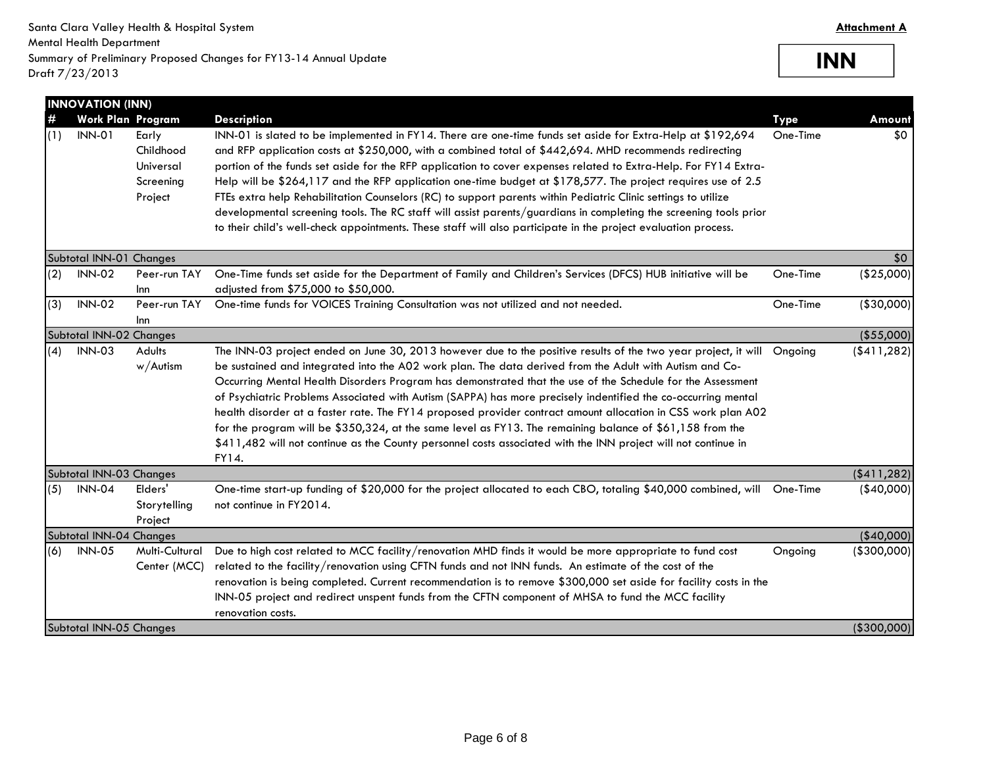**INN**

|          | <b>INNOVATION (INN)</b>                   |                                                         |                                                                                                                                                                                                                                                                                                                                                                                                                                                                                                                                                                                                                                                                                                                                                                                                                                       |                         |               |
|----------|-------------------------------------------|---------------------------------------------------------|---------------------------------------------------------------------------------------------------------------------------------------------------------------------------------------------------------------------------------------------------------------------------------------------------------------------------------------------------------------------------------------------------------------------------------------------------------------------------------------------------------------------------------------------------------------------------------------------------------------------------------------------------------------------------------------------------------------------------------------------------------------------------------------------------------------------------------------|-------------------------|---------------|
| #<br>(1) | <b>Work Plan Program</b><br><b>INN-01</b> | Early<br>Childhood<br>Universal<br>Screening<br>Project | <b>Description</b><br>INN-01 is slated to be implemented in FY14. There are one-time funds set aside for Extra-Help at \$192,694<br>and RFP application costs at \$250,000, with a combined total of \$442,694. MHD recommends redirecting<br>portion of the funds set aside for the RFP application to cover expenses related to Extra-Help. For FY14 Extra-<br>Help will be \$264,117 and the RFP application one-time budget at \$178,577. The project requires use of 2.5<br>FTEs extra help Rehabilitation Counselors (RC) to support parents within Pediatric Clinic settings to utilize<br>developmental screening tools. The RC staff will assist parents/guardians in completing the screening tools prior<br>to their child's well-check appointments. These staff will also participate in the project evaluation process. | <b>Type</b><br>One-Time | Amount<br>\$0 |
|          | Subtotal INN-01 Changes                   |                                                         |                                                                                                                                                                                                                                                                                                                                                                                                                                                                                                                                                                                                                                                                                                                                                                                                                                       |                         | \$0           |
| (2)      | <b>INN-02</b>                             | Peer-run TAY<br>Inn                                     | One-Time funds set aside for the Department of Family and Children's Services (DFCS) HUB initiative will be<br>adjusted from \$75,000 to \$50,000.                                                                                                                                                                                                                                                                                                                                                                                                                                                                                                                                                                                                                                                                                    | One-Time                | (\$25,000)    |
| (3)      | <b>INN-02</b>                             | Peer-run TAY<br>Inn                                     | One-time funds for VOICES Training Consultation was not utilized and not needed.                                                                                                                                                                                                                                                                                                                                                                                                                                                                                                                                                                                                                                                                                                                                                      | One-Time                | ( \$30,000]   |
|          | Subtotal INN-02 Changes                   |                                                         |                                                                                                                                                                                                                                                                                                                                                                                                                                                                                                                                                                                                                                                                                                                                                                                                                                       |                         | (\$55,000)    |
| (4)      | <b>INN-03</b>                             | Adults<br>$w/A$ utism                                   | The INN-03 project ended on June 30, 2013 however due to the positive results of the two year project, it will<br>be sustained and integrated into the A02 work plan. The data derived from the Adult with Autism and Co-<br>Occurring Mental Health Disorders Program has demonstrated that the use of the Schedule for the Assessment<br>of Psychiatric Problems Associated with Autism (SAPPA) has more precisely indentified the co-occurring mental<br>health disorder at a faster rate. The FY14 proposed provider contract amount allocation in CSS work plan A02<br>for the program will be \$350,324, at the same level as FY13. The remaining balance of \$61,158 from the<br>\$411,482 will not continue as the County personnel costs associated with the INN project will not continue in<br>FY14.                       | Ongoing                 | ( \$411, 282] |
|          | Subtotal INN-03 Changes                   |                                                         |                                                                                                                                                                                                                                                                                                                                                                                                                                                                                                                                                                                                                                                                                                                                                                                                                                       |                         | ( \$411, 282) |
| (5)      | <b>INN-04</b>                             | Elders'<br>Storytelling<br>Project                      | One-time start-up funding of \$20,000 for the project allocated to each CBO, totaling \$40,000 combined, will<br>not continue in FY2014.                                                                                                                                                                                                                                                                                                                                                                                                                                                                                                                                                                                                                                                                                              | One-Time                | $(*40,000)$   |
|          | Subtotal INN-04 Changes                   |                                                         |                                                                                                                                                                                                                                                                                                                                                                                                                                                                                                                                                                                                                                                                                                                                                                                                                                       |                         | $(*40,000)$   |
| (6)      | <b>INN-05</b>                             | Multi-Cultural<br>Center (MCC)                          | Due to high cost related to MCC facility/renovation MHD finds it would be more appropriate to fund cost<br>related to the facility/renovation using CFTN funds and not INN funds. An estimate of the cost of the<br>renovation is being completed. Current recommendation is to remove \$300,000 set aside for facility costs in the<br>INN-05 project and redirect unspent funds from the CFTN component of MHSA to fund the MCC facility<br>renovation costs.                                                                                                                                                                                                                                                                                                                                                                       | Ongoing                 | ( \$300,000]  |
|          | Subtotal INN-05 Changes                   |                                                         |                                                                                                                                                                                                                                                                                                                                                                                                                                                                                                                                                                                                                                                                                                                                                                                                                                       |                         | ( \$300,000]  |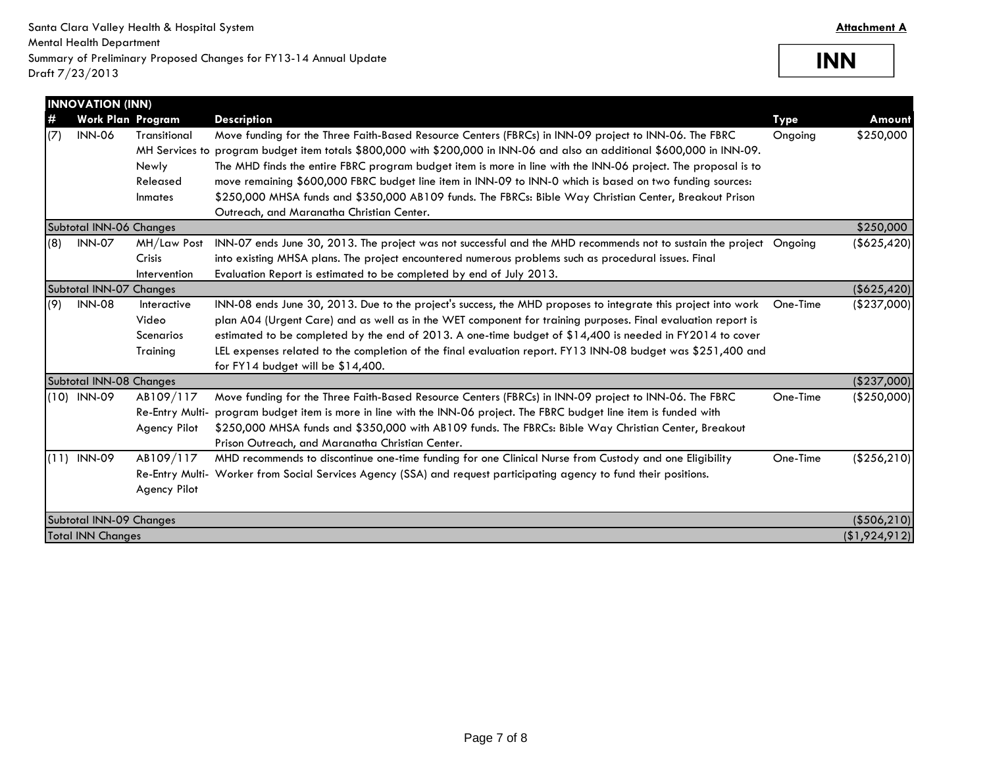**INN**

|      | <b>INNOVATION (INN)</b>  |                     |                                                                                                                          |             |               |
|------|--------------------------|---------------------|--------------------------------------------------------------------------------------------------------------------------|-------------|---------------|
| #    | <b>Work Plan Program</b> |                     | <b>Description</b>                                                                                                       | <b>Type</b> | Amount        |
| (7)  | <b>INN-06</b>            | <b>Transitional</b> | Move funding for the Three Faith-Based Resource Centers (FBRCs) in INN-09 project to INN-06. The FBRC                    | Ongoing     | \$250,000     |
|      |                          |                     | MH Services to program budget item totals \$800,000 with \$200,000 in INN-06 and also an additional \$600,000 in INN-09. |             |               |
|      |                          | Newly               | The MHD finds the entire FBRC program budget item is more in line with the INN-06 project. The proposal is to            |             |               |
|      |                          | Released            | move remaining \$600,000 FBRC budget line item in INN-09 to INN-0 which is based on two funding sources:                 |             |               |
|      |                          | Inmates             | \$250,000 MHSA funds and \$350,000 AB109 funds. The FBRCs: Bible Way Christian Center, Breakout Prison                   |             |               |
|      |                          |                     | Outreach, and Maranatha Christian Center.                                                                                |             |               |
|      | Subtotal INN-06 Changes  |                     |                                                                                                                          |             | \$250,000     |
| (8)  | <b>INN-07</b>            | MH/Law Post         | INN-07 ends June 30, 2013. The project was not successful and the MHD recommends not to sustain the project Ongoing      |             | ( \$625, 420] |
|      |                          | <b>Crisis</b>       | into existing MHSA plans. The project encountered numerous problems such as procedural issues. Final                     |             |               |
|      |                          | Intervention        | Evaluation Report is estimated to be completed by end of July 2013.                                                      |             |               |
|      | Subtotal INN-07 Changes  |                     |                                                                                                                          |             | (\$625,420)   |
| (9)  | <b>INN-08</b>            | Interactive         | INN-08 ends June 30, 2013. Due to the project's success, the MHD proposes to integrate this project into work            | One-Time    | $(*237,000)$  |
|      |                          | Video               | plan A04 (Urgent Care) and as well as in the WET component for training purposes. Final evaluation report is             |             |               |
|      |                          | Scenarios           | estimated to be completed by the end of 2013. A one-time budget of \$14,400 is needed in FY2014 to cover                 |             |               |
|      |                          | Training            | LEL expenses related to the completion of the final evaluation report. FY13 INN-08 budget was \$251,400 and              |             |               |
|      |                          |                     | for FY14 budget will be \$14,400.                                                                                        |             |               |
|      | Subtotal INN-08 Changes  |                     |                                                                                                                          |             | (\$237,000)   |
|      | $(10)$ INN-09            | AB109/117           | Move funding for the Three Faith-Based Resource Centers (FBRCs) in INN-09 project to INN-06. The FBRC                    | One-Time    | (\$250,000)   |
|      |                          | Re-Entry Multi-     | program budget item is more in line with the INN-06 project. The FBRC budget line item is funded with                    |             |               |
|      |                          | <b>Agency Pilot</b> | \$250,000 MHSA funds and \$350,000 with AB109 funds. The FBRCs: Bible Way Christian Center, Breakout                     |             |               |
|      |                          |                     | Prison Outreach, and Maranatha Christian Center.                                                                         |             |               |
| (11) | <b>INN-09</b>            | AB109/117           | MHD recommends to discontinue one-time funding for one Clinical Nurse from Custody and one Eligibility                   | One-Time    | (\$256, 210)  |
|      |                          |                     | Re-Entry Multi- Worker from Social Services Agency (SSA) and request participating agency to fund their positions.       |             |               |
|      |                          | <b>Agency Pilot</b> |                                                                                                                          |             |               |
|      | Subtotal INN-09 Changes  |                     |                                                                                                                          |             | ( \$506, 210] |
|      | <b>Total INN Changes</b> |                     |                                                                                                                          |             | (\$1,924,912) |
|      |                          |                     |                                                                                                                          |             |               |